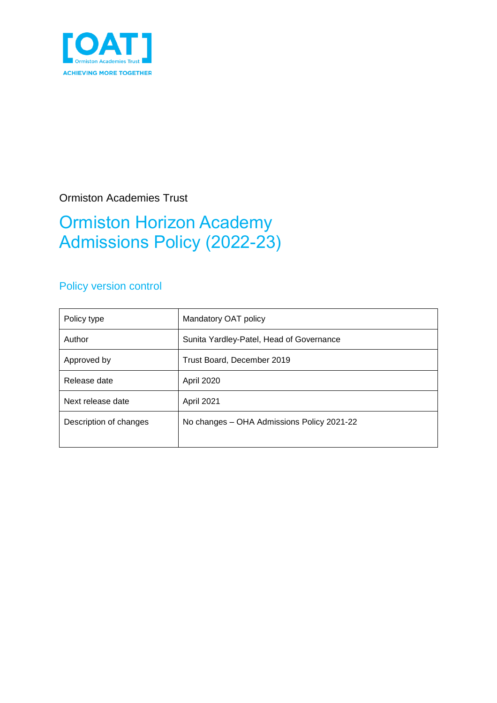

# Ormiston Academies Trust

# Ormiston Horizon Academy Admissions Policy (2022-23)

# Policy version control

| Policy type            | Mandatory OAT policy                       |
|------------------------|--------------------------------------------|
| Author                 | Sunita Yardley-Patel, Head of Governance   |
| Approved by            | Trust Board, December 2019                 |
| Release date           | <b>April 2020</b>                          |
| Next release date      | April 2021                                 |
| Description of changes | No changes – OHA Admissions Policy 2021-22 |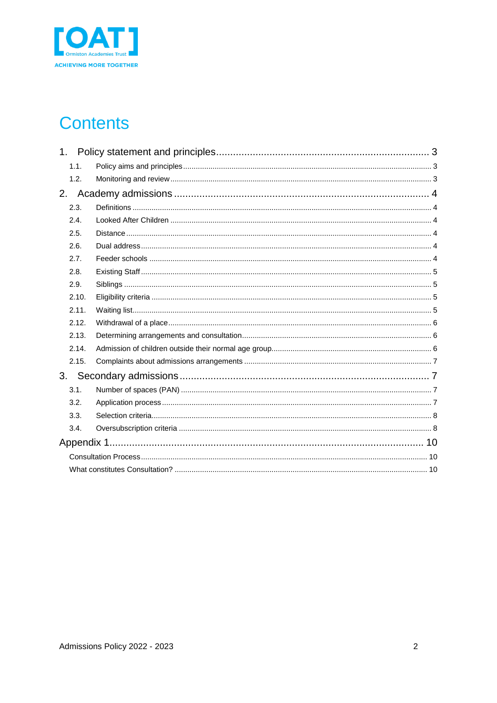

# **Contents**

| 1 <sub>1</sub> |  |
|----------------|--|
| 1.1.           |  |
| 1.2.           |  |
| 2.             |  |
| 2.3.           |  |
| 2.4.           |  |
| 2.5.           |  |
| 2.6.           |  |
| 2.7.           |  |
| 2.8.           |  |
| 2.9.           |  |
| 2.10.          |  |
| 2.11.          |  |
| 2.12.          |  |
| 2.13.          |  |
| 2.14.          |  |
| 2.15.          |  |
|                |  |
| 3.1.           |  |
| 3.2.           |  |
| 3.3.           |  |
| 3.4.           |  |
|                |  |
|                |  |
|                |  |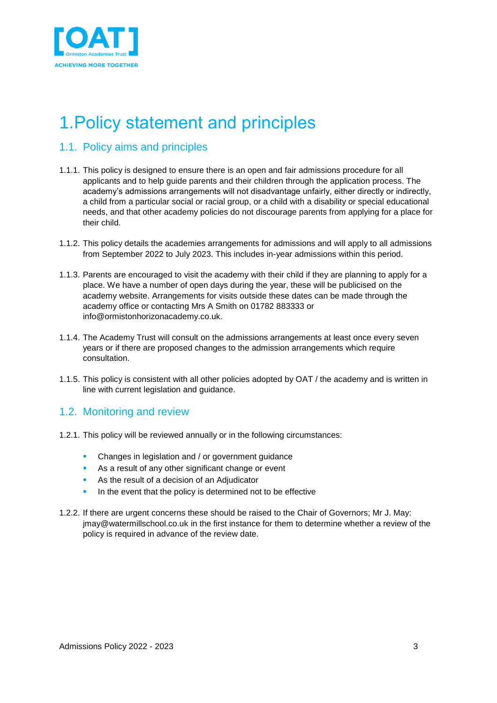

# <span id="page-2-0"></span>1.Policy statement and principles

# <span id="page-2-1"></span>1.1. Policy aims and principles

- 1.1.1. This policy is designed to ensure there is an open and fair admissions procedure for all applicants and to help guide parents and their children through the application process. The academy's admissions arrangements will not disadvantage unfairly, either directly or indirectly, a child from a particular social or racial group, or a child with a disability or special educational needs, and that other academy policies do not discourage parents from applying for a place for their child.
- 1.1.2. This policy details the academies arrangements for admissions and will apply to all admissions from September 2022 to July 2023. This includes in-year admissions within this period.
- 1.1.3. Parents are encouraged to visit the academy with their child if they are planning to apply for a place. We have a number of open days during the year, these will be publicised on the academy website. Arrangements for visits outside these dates can be made through the academy office or contacting Mrs A Smith on 01782 883333 or info@ormistonhorizonacademy.co.uk.
- 1.1.4. The Academy Trust will consult on the admissions arrangements at least once every seven years or if there are proposed changes to the admission arrangements which require consultation.
- 1.1.5. This policy is consistent with all other policies adopted by OAT / the academy and is written in line with current legislation and guidance.

## <span id="page-2-2"></span>1.2. Monitoring and review

- 1.2.1. This policy will be reviewed annually or in the following circumstances:
	- **Changes in legislation and / or government guidance**
	- As a result of any other significant change or event
	- As the result of a decision of an Adjudicator
	- In the event that the policy is determined not to be effective
- 1.2.2. If there are urgent concerns these should be raised to the Chair of Governors; Mr J. May: jmay@watermillschool.co.uk in the first instance for them to determine whether a review of the policy is required in advance of the review date.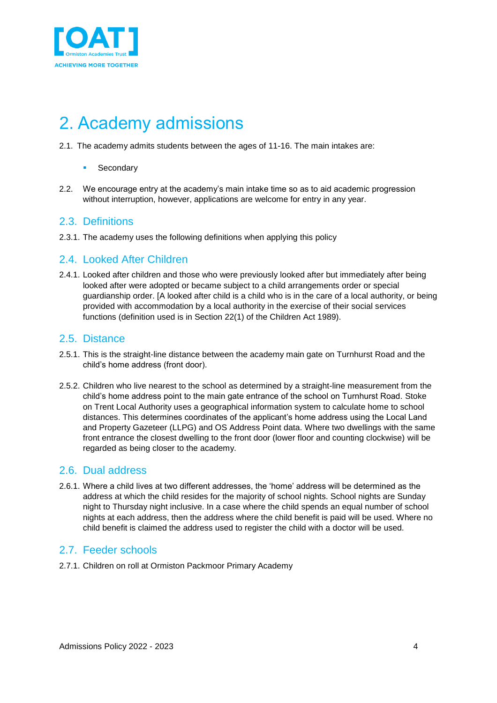

# <span id="page-3-0"></span>2. Academy admissions

- 2.1. The academy admits students between the ages of 11-16. The main intakes are:
	- Secondary
- 2.2. We encourage entry at the academy's main intake time so as to aid academic progression without interruption, however, applications are welcome for entry in any year.

## <span id="page-3-1"></span>2.3. Definitions

2.3.1. The academy uses the following definitions when applying this policy

## <span id="page-3-2"></span>2.4. Looked After Children

2.4.1. Looked after children and those who were previously looked after but immediately after being looked after were adopted or became subject to a child arrangements order or special guardianship order. [A looked after child is a child who is in the care of a local authority, or being provided with accommodation by a local authority in the exercise of their social services functions (definition used is in Section 22(1) of the Children Act 1989).

## <span id="page-3-3"></span>2.5. Distance

- 2.5.1. This is the straight-line distance between the academy main gate on Turnhurst Road and the child's home address (front door).
- 2.5.2. Children who live nearest to the school as determined by a straight-line measurement from the child's home address point to the main gate entrance of the school on Turnhurst Road. Stoke on Trent Local Authority uses a geographical information system to calculate home to school distances. This determines coordinates of the applicant's home address using the Local Land and Property Gazeteer (LLPG) and OS Address Point data. Where two dwellings with the same front entrance the closest dwelling to the front door (lower floor and counting clockwise) will be regarded as being closer to the academy.

## <span id="page-3-4"></span>2.6. Dual address

2.6.1. Where a child lives at two different addresses, the 'home' address will be determined as the address at which the child resides for the majority of school nights. School nights are Sunday night to Thursday night inclusive. In a case where the child spends an equal number of school nights at each address, then the address where the child benefit is paid will be used. Where no child benefit is claimed the address used to register the child with a doctor will be used.

## <span id="page-3-5"></span>2.7. Feeder schools

2.7.1. Children on roll at Ormiston Packmoor Primary Academy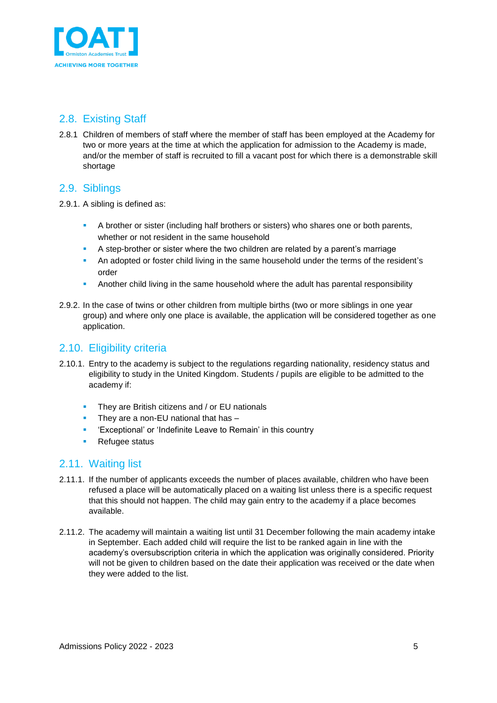

# <span id="page-4-0"></span>2.8. Existing Staff

2.8.1 Children of members of staff where the member of staff has been employed at the Academy for two or more years at the time at which the application for admission to the Academy is made, and/or the member of staff is recruited to fill a vacant post for which there is a demonstrable skill shortage

## <span id="page-4-1"></span>2.9. Siblings

- 2.9.1. A sibling is defined as:
	- **E** A brother or sister (including half brothers or sisters) who shares one or both parents, whether or not resident in the same household
	- A step-brother or sister where the two children are related by a parent's marriage
	- An adopted or foster child living in the same household under the terms of the resident's order
	- **Another child living in the same household where the adult has parental responsibility**
- 2.9.2. In the case of twins or other children from multiple births (two or more siblings in one year group) and where only one place is available, the application will be considered together as one application.

# <span id="page-4-2"></span>2.10. Eligibility criteria

- 2.10.1. Entry to the academy is subject to the regulations regarding nationality, residency status and eligibility to study in the United Kingdom. Students / pupils are eligible to be admitted to the academy if:
	- **•** They are British citizens and / or EU nationals
	- **•** They are a non-EU national that has -
	- 'Exceptional' or 'Indefinite Leave to Remain' in this country
	- Refugee status

# <span id="page-4-3"></span>2.11. Waiting list

- 2.11.1. If the number of applicants exceeds the number of places available, children who have been refused a place will be automatically placed on a waiting list unless there is a specific request that this should not happen. The child may gain entry to the academy if a place becomes available.
- 2.11.2. The academy will maintain a waiting list until 31 December following the main academy intake in September. Each added child will require the list to be ranked again in line with the academy's oversubscription criteria in which the application was originally considered. Priority will not be given to children based on the date their application was received or the date when they were added to the list.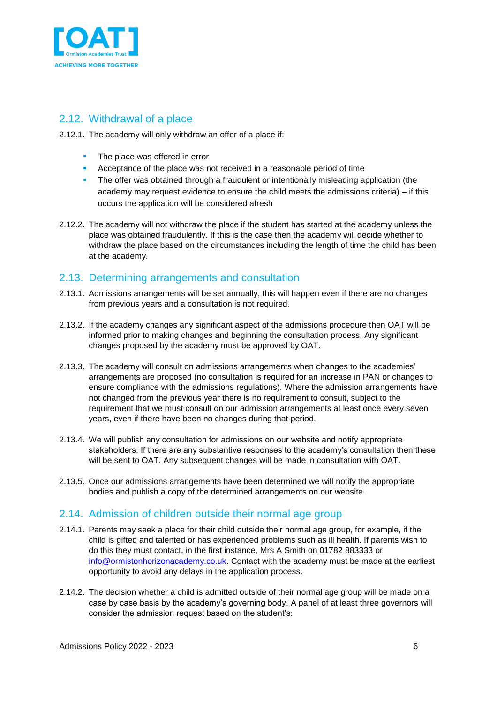

# <span id="page-5-0"></span>2.12. Withdrawal of a place

- 2.12.1. The academy will only withdraw an offer of a place if:
	- The place was offered in error
	- Acceptance of the place was not received in a reasonable period of time
	- **•** The offer was obtained through a fraudulent or intentionally misleading application (the academy may request evidence to ensure the child meets the admissions criteria) – if this occurs the application will be considered afresh
- 2.12.2. The academy will not withdraw the place if the student has started at the academy unless the place was obtained fraudulently. If this is the case then the academy will decide whether to withdraw the place based on the circumstances including the length of time the child has been at the academy.

# <span id="page-5-1"></span>2.13. Determining arrangements and consultation

- 2.13.1. Admissions arrangements will be set annually, this will happen even if there are no changes from previous years and a consultation is not required.
- 2.13.2. If the academy changes any significant aspect of the admissions procedure then OAT will be informed prior to making changes and beginning the consultation process. Any significant changes proposed by the academy must be approved by OAT.
- 2.13.3. The academy will consult on admissions arrangements when changes to the academies' arrangements are proposed (no consultation is required for an increase in PAN or changes to ensure compliance with the admissions regulations). Where the admission arrangements have not changed from the previous year there is no requirement to consult, subject to the requirement that we must consult on our admission arrangements at least once every seven years, even if there have been no changes during that period.
- 2.13.4. We will publish any consultation for admissions on our website and notify appropriate stakeholders. If there are any substantive responses to the academy's consultation then these will be sent to OAT. Any subsequent changes will be made in consultation with OAT.
- 2.13.5. Once our admissions arrangements have been determined we will notify the appropriate bodies and publish a copy of the determined arrangements on our website.

# <span id="page-5-2"></span>2.14. Admission of children outside their normal age group

- 2.14.1. Parents may seek a place for their child outside their normal age group, for example, if the child is gifted and talented or has experienced problems such as ill health. If parents wish to do this they must contact, in the first instance, Mrs A Smith on 01782 883333 or [info@ormistonhorizonacademy.co.uk.](mailto:info@ormistonhorizonacademy.co.uk) Contact with the academy must be made at the earliest opportunity to avoid any delays in the application process.
- 2.14.2. The decision whether a child is admitted outside of their normal age group will be made on a case by case basis by the academy's governing body. A panel of at least three governors will consider the admission request based on the student's: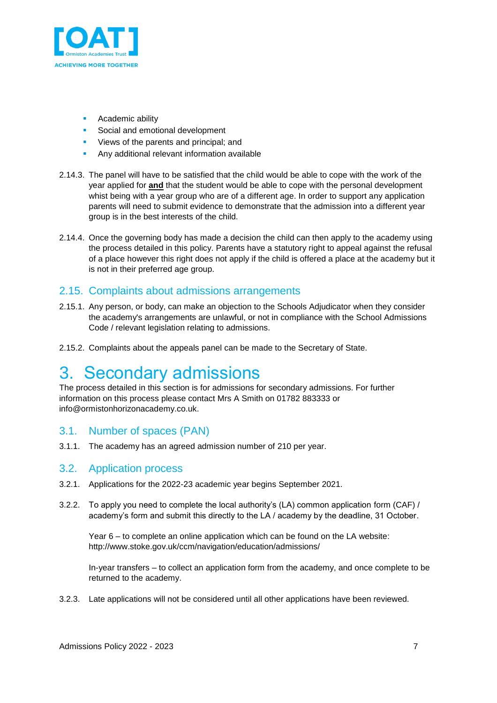

- Academic ability
- Social and emotional development
- **•** Views of the parents and principal; and
- **EXECT** Any additional relevant information available
- 2.14.3. The panel will have to be satisfied that the child would be able to cope with the work of the year applied for **and** that the student would be able to cope with the personal development whist being with a year group who are of a different age. In order to support any application parents will need to submit evidence to demonstrate that the admission into a different year group is in the best interests of the child.
- 2.14.4. Once the governing body has made a decision the child can then apply to the academy using the process detailed in this policy. Parents have a statutory right to appeal against the refusal of a place however this right does not apply if the child is offered a place at the academy but it is not in their preferred age group.

## <span id="page-6-0"></span>2.15. Complaints about admissions arrangements

- 2.15.1. Any person, or body, can make an objection to the Schools Adjudicator when they consider the academy's arrangements are unlawful, or not in compliance with the School Admissions Code / relevant legislation relating to admissions.
- 2.15.2. Complaints about the appeals panel can be made to the Secretary of State.

# <span id="page-6-1"></span>3. Secondary admissions

The process detailed in this section is for admissions for secondary admissions. For further information on this process please contact Mrs A Smith on 01782 883333 or info@ormistonhorizonacademy.co.uk.

### <span id="page-6-2"></span>3.1. Number of spaces (PAN)

3.1.1. The academy has an agreed admission number of 210 per year.

### <span id="page-6-3"></span>3.2. Application process

- 3.2.1. Applications for the 2022-23 academic year begins September 2021.
- 3.2.2. To apply you need to complete the local authority's (LA) common application form (CAF) / academy's form and submit this directly to the LA / academy by the deadline, 31 October.

Year 6 – to complete an online application which can be found on the LA website: http://www.stoke.gov.uk/ccm/navigation/education/admissions/

In-year transfers – to collect an application form from the academy, and once complete to be returned to the academy.

3.2.3. Late applications will not be considered until all other applications have been reviewed.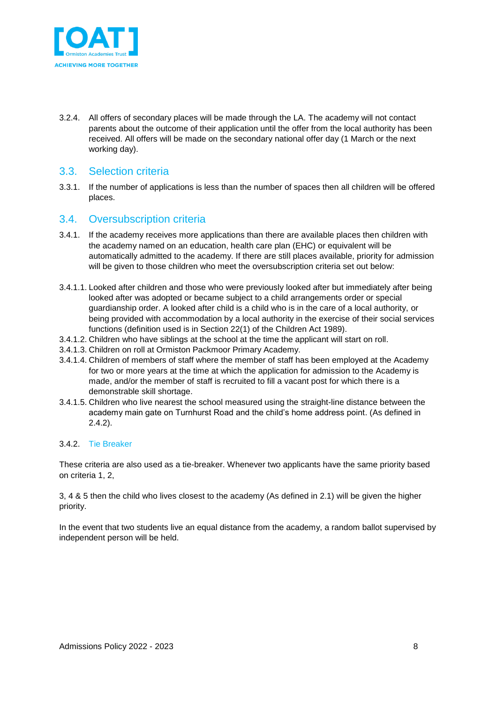

3.2.4. All offers of secondary places will be made through the LA. The academy will not contact parents about the outcome of their application until the offer from the local authority has been received. All offers will be made on the secondary national offer day (1 March or the next working day).

## <span id="page-7-0"></span>3.3. Selection criteria

3.3.1. If the number of applications is less than the number of spaces then all children will be offered places.

## <span id="page-7-1"></span>3.4. Oversubscription criteria

- 3.4.1. If the academy receives more applications than there are available places then children with the academy named on an education, health care plan (EHC) or equivalent will be automatically admitted to the academy. If there are still places available, priority for admission will be given to those children who meet the oversubscription criteria set out below:
- 3.4.1.1. Looked after children and those who were previously looked after but immediately after being looked after was adopted or became subject to a child arrangements order or special guardianship order. A looked after child is a child who is in the care of a local authority, or being provided with accommodation by a local authority in the exercise of their social services functions (definition used is in Section 22(1) of the Children Act 1989).
- 3.4.1.2. Children who have siblings at the school at the time the applicant will start on roll.
- 3.4.1.3. Children on roll at Ormiston Packmoor Primary Academy.
- 3.4.1.4. Children of members of staff where the member of staff has been employed at the Academy for two or more years at the time at which the application for admission to the Academy is made, and/or the member of staff is recruited to fill a vacant post for which there is a demonstrable skill shortage.
- 3.4.1.5. Children who live nearest the school measured using the straight-line distance between the academy main gate on Turnhurst Road and the child's home address point. (As defined in 2.4.2).

#### 3.4.2. Tie Breaker

These criteria are also used as a tie-breaker. Whenever two applicants have the same priority based on criteria 1, 2,

3, 4 & 5 then the child who lives closest to the academy (As defined in 2.1) will be given the higher priority.

In the event that two students live an equal distance from the academy, a random ballot supervised by independent person will be held.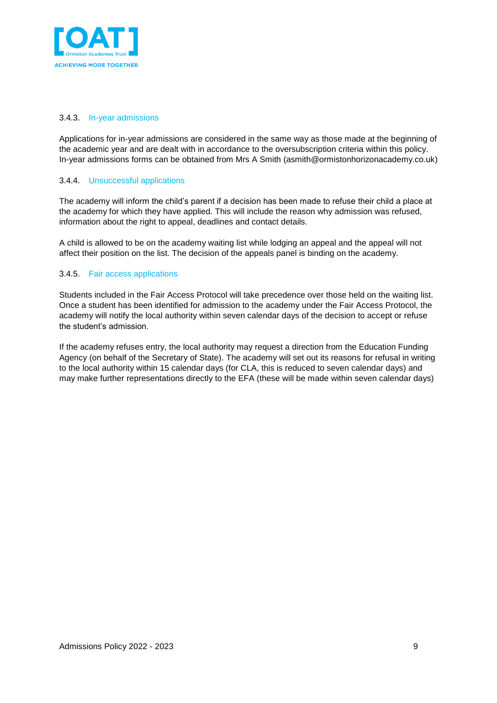

#### 3.4.3. In-year admissions

Applications for in-year admissions are considered in the same way as those made at the beginning of the academic year and are dealt with in accordance to the oversubscription criteria within this policy. In-year admissions forms can be obtained from Mrs A Smith (asmith@ormistonhorizonacademy.co.uk)

#### 3.4.4. Unsuccessful applications

The academy will inform the child's parent if a decision has been made to refuse their child a place at the academy for which they have applied. This will include the reason why admission was refused, information about the right to appeal, deadlines and contact details.

A child is allowed to be on the academy waiting list while lodging an appeal and the appeal will not affect their position on the list. The decision of the appeals panel is binding on the academy.

#### 3.4.5. Fair access applications

Students included in the Fair Access Protocol will take precedence over those held on the waiting list. Once a student has been identified for admission to the academy under the Fair Access Protocol, the academy will notify the local authority within seven calendar days of the decision to accept or refuse the student's admission.

If the academy refuses entry, the local authority may request a direction from the Education Funding Agency (on behalf of the Secretary of State). The academy will set out its reasons for refusal in writing to the local authority within 15 calendar days (for CLA, this is reduced to seven calendar days) and may make further representations directly to the EFA (these will be made within seven calendar days)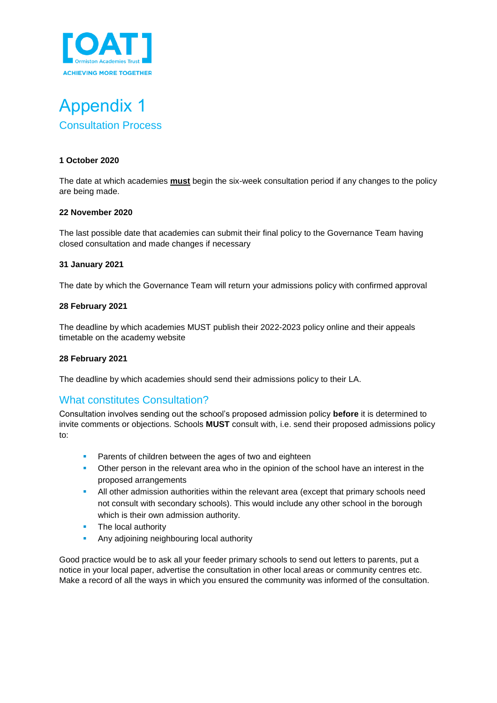

<span id="page-9-1"></span><span id="page-9-0"></span>

#### **1 October 2020**

The date at which academies **must** begin the six-week consultation period if any changes to the policy are being made.

#### **22 November 2020**

The last possible date that academies can submit their final policy to the Governance Team having closed consultation and made changes if necessary

#### **31 January 2021**

The date by which the Governance Team will return your admissions policy with confirmed approval

#### **28 February 2021**

The deadline by which academies MUST publish their 2022-2023 policy online and their appeals timetable on the academy website

#### **28 February 2021**

The deadline by which academies should send their admissions policy to their LA.

## <span id="page-9-2"></span>What constitutes Consultation?

Consultation involves sending out the school's proposed admission policy **before** it is determined to invite comments or objections. Schools **MUST** consult with, i.e. send their proposed admissions policy to:

- **•** Parents of children between the ages of two and eighteen
- **•** Other person in the relevant area who in the opinion of the school have an interest in the proposed arrangements
- All other admission authorities within the relevant area (except that primary schools need not consult with secondary schools). This would include any other school in the borough which is their own admission authority.
- **•** The local authority
- **EXECUTE:** Any adjoining neighbouring local authority

Good practice would be to ask all your feeder primary schools to send out letters to parents, put a notice in your local paper, advertise the consultation in other local areas or community centres etc. Make a record of all the ways in which you ensured the community was informed of the consultation.